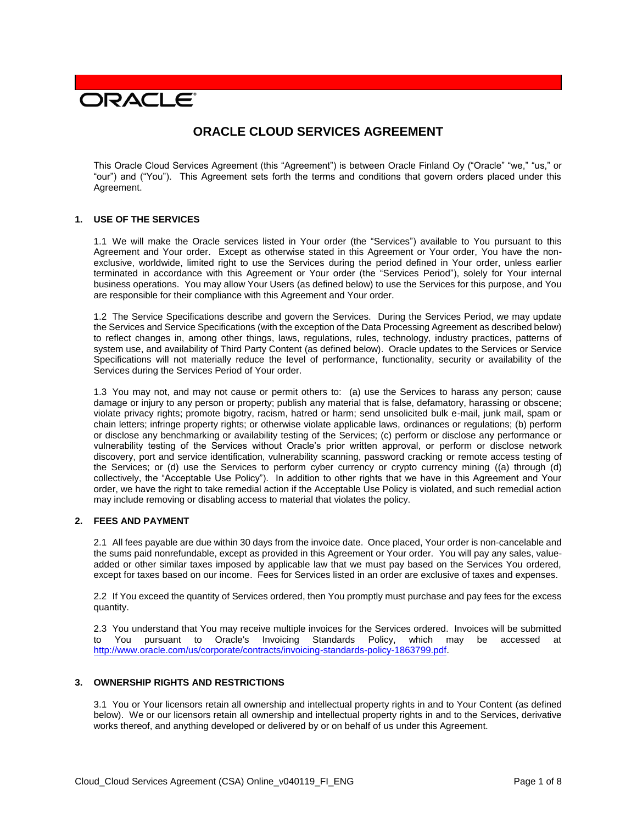# **DRACLE**

# **ORACLE CLOUD SERVICES AGREEMENT**

This Oracle Cloud Services Agreement (this "Agreement") is between Oracle Finland Oy ("Oracle" "we," "us," or "our") and ("You"). This Agreement sets forth the terms and conditions that govern orders placed under this Agreement.

#### **1. USE OF THE SERVICES**

1.1 We will make the Oracle services listed in Your order (the "Services") available to You pursuant to this Agreement and Your order. Except as otherwise stated in this Agreement or Your order, You have the nonexclusive, worldwide, limited right to use the Services during the period defined in Your order, unless earlier terminated in accordance with this Agreement or Your order (the "Services Period"), solely for Your internal business operations. You may allow Your Users (as defined below) to use the Services for this purpose, and You are responsible for their compliance with this Agreement and Your order.

1.2 The Service Specifications describe and govern the Services. During the Services Period, we may update the Services and Service Specifications (with the exception of the Data Processing Agreement as described below) to reflect changes in, among other things, laws, regulations, rules, technology, industry practices, patterns of system use, and availability of Third Party Content (as defined below). Oracle updates to the Services or Service Specifications will not materially reduce the level of performance, functionality, security or availability of the Services during the Services Period of Your order.

1.3 You may not, and may not cause or permit others to: (a) use the Services to harass any person; cause damage or injury to any person or property; publish any material that is false, defamatory, harassing or obscene; violate privacy rights; promote bigotry, racism, hatred or harm; send unsolicited bulk e-mail, junk mail, spam or chain letters; infringe property rights; or otherwise violate applicable laws, ordinances or regulations; (b) perform or disclose any benchmarking or availability testing of the Services; (c) perform or disclose any performance or vulnerability testing of the Services without Oracle's prior written approval, or perform or disclose network discovery, port and service identification, vulnerability scanning, password cracking or remote access testing of the Services; or (d) use the Services to perform cyber currency or crypto currency mining ((a) through (d) collectively, the "Acceptable Use Policy"). In addition to other rights that we have in this Agreement and Your order, we have the right to take remedial action if the Acceptable Use Policy is violated, and such remedial action may include removing or disabling access to material that violates the policy.

# **2. FEES AND PAYMENT**

2.1 All fees payable are due within 30 days from the invoice date. Once placed, Your order is non-cancelable and the sums paid nonrefundable, except as provided in this Agreement or Your order. You will pay any sales, valueadded or other similar taxes imposed by applicable law that we must pay based on the Services You ordered, except for taxes based on our income. Fees for Services listed in an order are exclusive of taxes and expenses.

2.2 If You exceed the quantity of Services ordered, then You promptly must purchase and pay fees for the excess quantity.

2.3 You understand that You may receive multiple invoices for the Services ordered. Invoices will be submitted to You pursuant to Oracle's Invoicing Standards Policy, which may be accessed at [http://www.oracle.com/us/corporate/contracts/invoicing-standards-policy-1863799.pdf.](http://www.oracle.com/us/corporate/contracts/invoicing-standards-policy-1863799.pdf)

#### **3. OWNERSHIP RIGHTS AND RESTRICTIONS**

3.1 You or Your licensors retain all ownership and intellectual property rights in and to Your Content (as defined below). We or our licensors retain all ownership and intellectual property rights in and to the Services, derivative works thereof, and anything developed or delivered by or on behalf of us under this Agreement.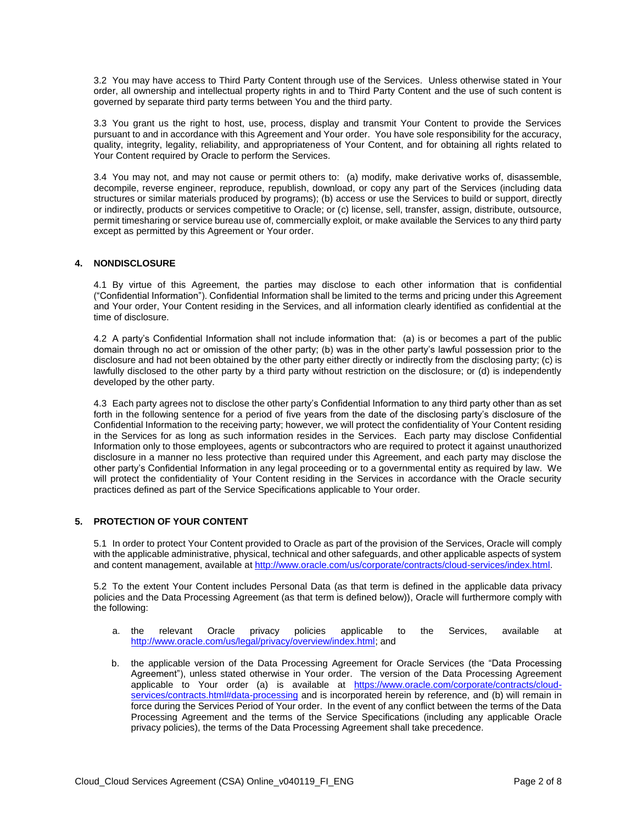3.2 You may have access to Third Party Content through use of the Services. Unless otherwise stated in Your order, all ownership and intellectual property rights in and to Third Party Content and the use of such content is governed by separate third party terms between You and the third party.

3.3 You grant us the right to host, use, process, display and transmit Your Content to provide the Services pursuant to and in accordance with this Agreement and Your order. You have sole responsibility for the accuracy, quality, integrity, legality, reliability, and appropriateness of Your Content, and for obtaining all rights related to Your Content required by Oracle to perform the Services.

3.4 You may not, and may not cause or permit others to: (a) modify, make derivative works of, disassemble, decompile, reverse engineer, reproduce, republish, download, or copy any part of the Services (including data structures or similar materials produced by programs); (b) access or use the Services to build or support, directly or indirectly, products or services competitive to Oracle; or (c) license, sell, transfer, assign, distribute, outsource, permit timesharing or service bureau use of, commercially exploit, or make available the Services to any third party except as permitted by this Agreement or Your order.

# **4. NONDISCLOSURE**

4.1 By virtue of this Agreement, the parties may disclose to each other information that is confidential ("Confidential Information"). Confidential Information shall be limited to the terms and pricing under this Agreement and Your order, Your Content residing in the Services, and all information clearly identified as confidential at the time of disclosure.

4.2 A party's Confidential Information shall not include information that: (a) is or becomes a part of the public domain through no act or omission of the other party; (b) was in the other party's lawful possession prior to the disclosure and had not been obtained by the other party either directly or indirectly from the disclosing party; (c) is lawfully disclosed to the other party by a third party without restriction on the disclosure; or (d) is independently developed by the other party.

4.3 Each party agrees not to disclose the other party's Confidential Information to any third party other than as set forth in the following sentence for a period of five years from the date of the disclosing party's disclosure of the Confidential Information to the receiving party; however, we will protect the confidentiality of Your Content residing in the Services for as long as such information resides in the Services. Each party may disclose Confidential Information only to those employees, agents or subcontractors who are required to protect it against unauthorized disclosure in a manner no less protective than required under this Agreement, and each party may disclose the other party's Confidential Information in any legal proceeding or to a governmental entity as required by law. We will protect the confidentiality of Your Content residing in the Services in accordance with the Oracle security practices defined as part of the Service Specifications applicable to Your order.

# **5. PROTECTION OF YOUR CONTENT**

5.1 In order to protect Your Content provided to Oracle as part of the provision of the Services, Oracle will comply with the applicable administrative, physical, technical and other safeguards, and other applicable aspects of system and content management, available at [http://www.oracle.com/us/corporate/contracts/cloud-services/index.html.](http://www.oracle.com/us/corporate/contracts/cloud-services/index.html)

5.2 To the extent Your Content includes Personal Data (as that term is defined in the applicable data privacy policies and the Data Processing Agreement (as that term is defined below)), Oracle will furthermore comply with the following:

- a. the relevant Oracle privacy policies applicable to the Services, available at [http://www.oracle.com/us/legal/privacy/overview/index.html;](http://www.oracle.com/us/legal/privacy/overview/index.html) and
- b. the applicable version of the Data Processing Agreement for Oracle Services (the "Data Processing Agreement"), unless stated otherwise in Your order. The version of the Data Processing Agreement applicable to Your order (a) is available at [https://www.oracle.com/corporate/contracts/cloud](https://www.oracle.com/corporate/contracts/cloud-services/contracts.html#data-processing)[services/contracts.html#data-processing](https://www.oracle.com/corporate/contracts/cloud-services/contracts.html#data-processing) and is incorporated herein by reference, and (b) will remain in force during the Services Period of Your order. In the event of any conflict between the terms of the Data Processing Agreement and the terms of the Service Specifications (including any applicable Oracle privacy policies), the terms of the Data Processing Agreement shall take precedence.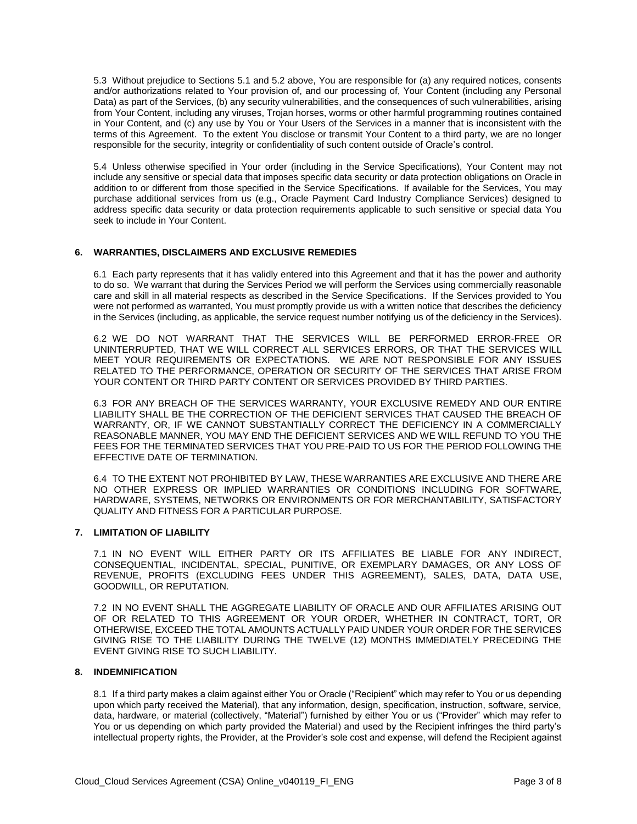5.3 Without prejudice to Sections 5.1 and 5.2 above, You are responsible for (a) any required notices, consents and/or authorizations related to Your provision of, and our processing of, Your Content (including any Personal Data) as part of the Services, (b) any security vulnerabilities, and the consequences of such vulnerabilities, arising from Your Content, including any viruses, Trojan horses, worms or other harmful programming routines contained in Your Content, and (c) any use by You or Your Users of the Services in a manner that is inconsistent with the terms of this Agreement. To the extent You disclose or transmit Your Content to a third party, we are no longer responsible for the security, integrity or confidentiality of such content outside of Oracle's control.

5.4 Unless otherwise specified in Your order (including in the Service Specifications), Your Content may not include any sensitive or special data that imposes specific data security or data protection obligations on Oracle in addition to or different from those specified in the Service Specifications. If available for the Services, You may purchase additional services from us (e.g., Oracle Payment Card Industry Compliance Services) designed to address specific data security or data protection requirements applicable to such sensitive or special data You seek to include in Your Content.

#### **6. WARRANTIES, DISCLAIMERS AND EXCLUSIVE REMEDIES**

6.1 Each party represents that it has validly entered into this Agreement and that it has the power and authority to do so. We warrant that during the Services Period we will perform the Services using commercially reasonable care and skill in all material respects as described in the Service Specifications. If the Services provided to You were not performed as warranted, You must promptly provide us with a written notice that describes the deficiency in the Services (including, as applicable, the service request number notifying us of the deficiency in the Services).

6.2 WE DO NOT WARRANT THAT THE SERVICES WILL BE PERFORMED ERROR-FREE OR UNINTERRUPTED, THAT WE WILL CORRECT ALL SERVICES ERRORS, OR THAT THE SERVICES WILL MEET YOUR REQUIREMENTS OR EXPECTATIONS. WE ARE NOT RESPONSIBLE FOR ANY ISSUES RELATED TO THE PERFORMANCE, OPERATION OR SECURITY OF THE SERVICES THAT ARISE FROM YOUR CONTENT OR THIRD PARTY CONTENT OR SERVICES PROVIDED BY THIRD PARTIES.

6.3 FOR ANY BREACH OF THE SERVICES WARRANTY, YOUR EXCLUSIVE REMEDY AND OUR ENTIRE LIABILITY SHALL BE THE CORRECTION OF THE DEFICIENT SERVICES THAT CAUSED THE BREACH OF WARRANTY, OR, IF WE CANNOT SUBSTANTIALLY CORRECT THE DEFICIENCY IN A COMMERCIALLY REASONABLE MANNER, YOU MAY END THE DEFICIENT SERVICES AND WE WILL REFUND TO YOU THE FEES FOR THE TERMINATED SERVICES THAT YOU PRE-PAID TO US FOR THE PERIOD FOLLOWING THE EFFECTIVE DATE OF TERMINATION.

6.4 TO THE EXTENT NOT PROHIBITED BY LAW, THESE WARRANTIES ARE EXCLUSIVE AND THERE ARE NO OTHER EXPRESS OR IMPLIED WARRANTIES OR CONDITIONS INCLUDING FOR SOFTWARE, HARDWARE, SYSTEMS, NETWORKS OR ENVIRONMENTS OR FOR MERCHANTABILITY, SATISFACTORY QUALITY AND FITNESS FOR A PARTICULAR PURPOSE.

#### **7. LIMITATION OF LIABILITY**

7.1 IN NO EVENT WILL EITHER PARTY OR ITS AFFILIATES BE LIABLE FOR ANY INDIRECT, CONSEQUENTIAL, INCIDENTAL, SPECIAL, PUNITIVE, OR EXEMPLARY DAMAGES, OR ANY LOSS OF REVENUE, PROFITS (EXCLUDING FEES UNDER THIS AGREEMENT), SALES, DATA, DATA USE, GOODWILL, OR REPUTATION.

7.2 IN NO EVENT SHALL THE AGGREGATE LIABILITY OF ORACLE AND OUR AFFILIATES ARISING OUT OF OR RELATED TO THIS AGREEMENT OR YOUR ORDER, WHETHER IN CONTRACT, TORT, OR OTHERWISE, EXCEED THE TOTAL AMOUNTS ACTUALLY PAID UNDER YOUR ORDER FOR THE SERVICES GIVING RISE TO THE LIABILITY DURING THE TWELVE (12) MONTHS IMMEDIATELY PRECEDING THE EVENT GIVING RISE TO SUCH LIABILITY.

#### **8. INDEMNIFICATION**

8.1 If a third party makes a claim against either You or Oracle ("Recipient" which may refer to You or us depending upon which party received the Material), that any information, design, specification, instruction, software, service, data, hardware, or material (collectively, "Material") furnished by either You or us ("Provider" which may refer to You or us depending on which party provided the Material) and used by the Recipient infringes the third party's intellectual property rights, the Provider, at the Provider's sole cost and expense, will defend the Recipient against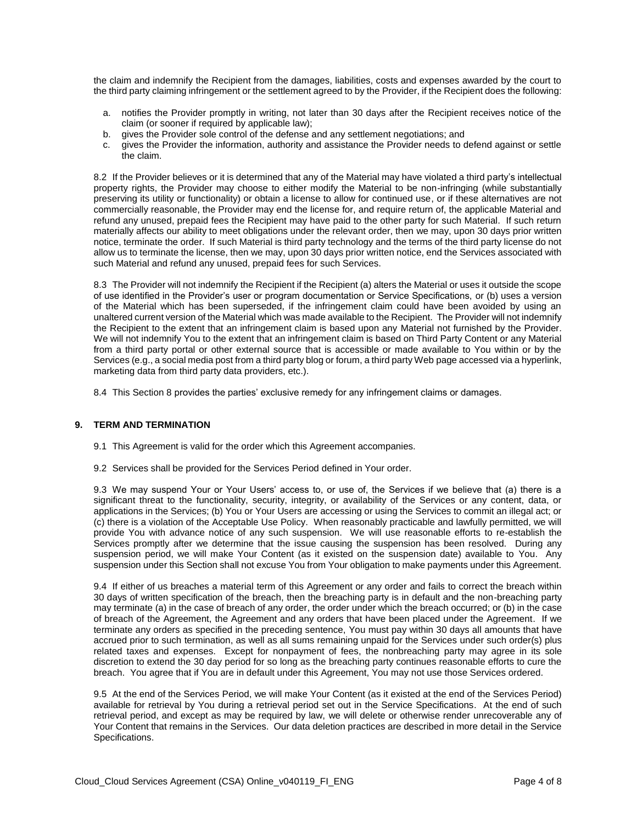the claim and indemnify the Recipient from the damages, liabilities, costs and expenses awarded by the court to the third party claiming infringement or the settlement agreed to by the Provider, if the Recipient does the following:

- a. notifies the Provider promptly in writing, not later than 30 days after the Recipient receives notice of the claim (or sooner if required by applicable law);
- b. gives the Provider sole control of the defense and any settlement negotiations; and
- c. gives the Provider the information, authority and assistance the Provider needs to defend against or settle the claim.

8.2 If the Provider believes or it is determined that any of the Material may have violated a third party's intellectual property rights, the Provider may choose to either modify the Material to be non-infringing (while substantially preserving its utility or functionality) or obtain a license to allow for continued use, or if these alternatives are not commercially reasonable, the Provider may end the license for, and require return of, the applicable Material and refund any unused, prepaid fees the Recipient may have paid to the other party for such Material. If such return materially affects our ability to meet obligations under the relevant order, then we may, upon 30 days prior written notice, terminate the order. If such Material is third party technology and the terms of the third party license do not allow us to terminate the license, then we may, upon 30 days prior written notice, end the Services associated with such Material and refund any unused, prepaid fees for such Services.

8.3 The Provider will not indemnify the Recipient if the Recipient (a) alters the Material or uses it outside the scope of use identified in the Provider's user or program documentation or Service Specifications, or (b) uses a version of the Material which has been superseded, if the infringement claim could have been avoided by using an unaltered current version of the Material which was made available to the Recipient. The Provider will not indemnify the Recipient to the extent that an infringement claim is based upon any Material not furnished by the Provider. We will not indemnify You to the extent that an infringement claim is based on Third Party Content or any Material from a third party portal or other external source that is accessible or made available to You within or by the Services (e.g., a social media post from a third party blog or forum, a third party Web page accessed via a hyperlink, marketing data from third party data providers, etc.).

8.4 This Section 8 provides the parties' exclusive remedy for any infringement claims or damages.

#### **9. TERM AND TERMINATION**

- 9.1 This Agreement is valid for the order which this Agreement accompanies.
- 9.2 Services shall be provided for the Services Period defined in Your order.

9.3 We may suspend Your or Your Users' access to, or use of, the Services if we believe that (a) there is a significant threat to the functionality, security, integrity, or availability of the Services or any content, data, or applications in the Services; (b) You or Your Users are accessing or using the Services to commit an illegal act; or (c) there is a violation of the Acceptable Use Policy. When reasonably practicable and lawfully permitted, we will provide You with advance notice of any such suspension. We will use reasonable efforts to re-establish the Services promptly after we determine that the issue causing the suspension has been resolved. During any suspension period, we will make Your Content (as it existed on the suspension date) available to You. Any suspension under this Section shall not excuse You from Your obligation to make payments under this Agreement.

9.4 If either of us breaches a material term of this Agreement or any order and fails to correct the breach within 30 days of written specification of the breach, then the breaching party is in default and the non-breaching party may terminate (a) in the case of breach of any order, the order under which the breach occurred; or (b) in the case of breach of the Agreement, the Agreement and any orders that have been placed under the Agreement. If we terminate any orders as specified in the preceding sentence, You must pay within 30 days all amounts that have accrued prior to such termination, as well as all sums remaining unpaid for the Services under such order(s) plus related taxes and expenses. Except for nonpayment of fees, the nonbreaching party may agree in its sole discretion to extend the 30 day period for so long as the breaching party continues reasonable efforts to cure the breach. You agree that if You are in default under this Agreement, You may not use those Services ordered.

9.5 At the end of the Services Period, we will make Your Content (as it existed at the end of the Services Period) available for retrieval by You during a retrieval period set out in the Service Specifications. At the end of such retrieval period, and except as may be required by law, we will delete or otherwise render unrecoverable any of Your Content that remains in the Services. Our data deletion practices are described in more detail in the Service Specifications.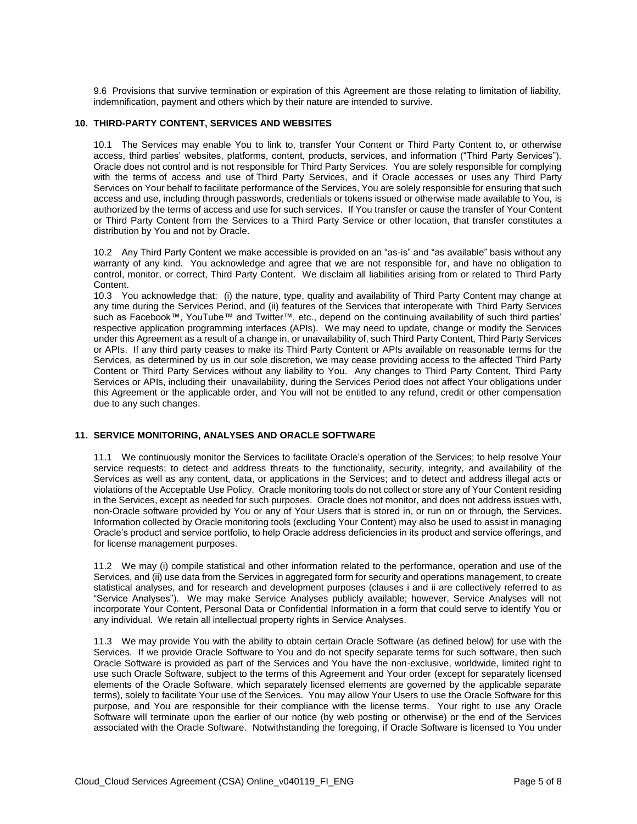9.6 Provisions that survive termination or expiration of this Agreement are those relating to limitation of liability, indemnification, payment and others which by their nature are intended to survive.

#### **10. THIRD-PARTY CONTENT, SERVICES AND WEBSITES**

10.1 The Services may enable You to link to, transfer Your Content or Third Party Content to, or otherwise access, third parties' websites, platforms, content, products, services, and information ("Third Party Services"). Oracle does not control and is not responsible for Third Party Services. You are solely responsible for complying with the terms of access and use of Third Party Services, and if Oracle accesses or uses any Third Party Services on Your behalf to facilitate performance of the Services, You are solely responsible for ensuring that such access and use, including through passwords, credentials or tokens issued or otherwise made available to You, is authorized by the terms of access and use for such services. If You transfer or cause the transfer of Your Content or Third Party Content from the Services to a Third Party Service or other location, that transfer constitutes a distribution by You and not by Oracle.

10.2 Any Third Party Content we make accessible is provided on an "as-is" and "as available" basis without any warranty of any kind. You acknowledge and agree that we are not responsible for, and have no obligation to control, monitor, or correct, Third Party Content. We disclaim all liabilities arising from or related to Third Party Content.

10.3 You acknowledge that: (i) the nature, type, quality and availability of Third Party Content may change at any time during the Services Period, and (ii) features of the Services that interoperate with Third Party Services such as Facebook™, YouTube™ and Twitter™, etc., depend on the continuing availability of such third parties' respective application programming interfaces (APIs). We may need to update, change or modify the Services under this Agreement as a result of a change in, or unavailability of, such Third Party Content, Third Party Services or APIs. If any third party ceases to make its Third Party Content or APIs available on reasonable terms for the Services, as determined by us in our sole discretion, we may cease providing access to the affected Third Party Content or Third Party Services without any liability to You. Any changes to Third Party Content, Third Party Services or APIs, including their unavailability, during the Services Period does not affect Your obligations under this Agreement or the applicable order, and You will not be entitled to any refund, credit or other compensation due to any such changes.

# **11. SERVICE MONITORING, ANALYSES AND ORACLE SOFTWARE**

11.1 We continuously monitor the Services to facilitate Oracle's operation of the Services; to help resolve Your service requests; to detect and address threats to the functionality, security, integrity, and availability of the Services as well as any content, data, or applications in the Services; and to detect and address illegal acts or violations of the Acceptable Use Policy. Oracle monitoring tools do not collect or store any of Your Content residing in the Services, except as needed for such purposes. Oracle does not monitor, and does not address issues with, non-Oracle software provided by You or any of Your Users that is stored in, or run on or through, the Services. Information collected by Oracle monitoring tools (excluding Your Content) may also be used to assist in managing Oracle's product and service portfolio, to help Oracle address deficiencies in its product and service offerings, and for license management purposes.

11.2 We may (i) compile statistical and other information related to the performance, operation and use of the Services, and (ii) use data from the Services in aggregated form for security and operations management, to create statistical analyses, and for research and development purposes (clauses i and ii are collectively referred to as "Service Analyses"). We may make Service Analyses publicly available; however, Service Analyses will not incorporate Your Content, Personal Data or Confidential Information in a form that could serve to identify You or any individual. We retain all intellectual property rights in Service Analyses.

11.3 We may provide You with the ability to obtain certain Oracle Software (as defined below) for use with the Services. If we provide Oracle Software to You and do not specify separate terms for such software, then such Oracle Software is provided as part of the Services and You have the non-exclusive, worldwide, limited right to use such Oracle Software, subject to the terms of this Agreement and Your order (except for separately licensed elements of the Oracle Software, which separately licensed elements are governed by the applicable separate terms), solely to facilitate Your use of the Services. You may allow Your Users to use the Oracle Software for this purpose, and You are responsible for their compliance with the license terms. Your right to use any Oracle Software will terminate upon the earlier of our notice (by web posting or otherwise) or the end of the Services associated with the Oracle Software. Notwithstanding the foregoing, if Oracle Software is licensed to You under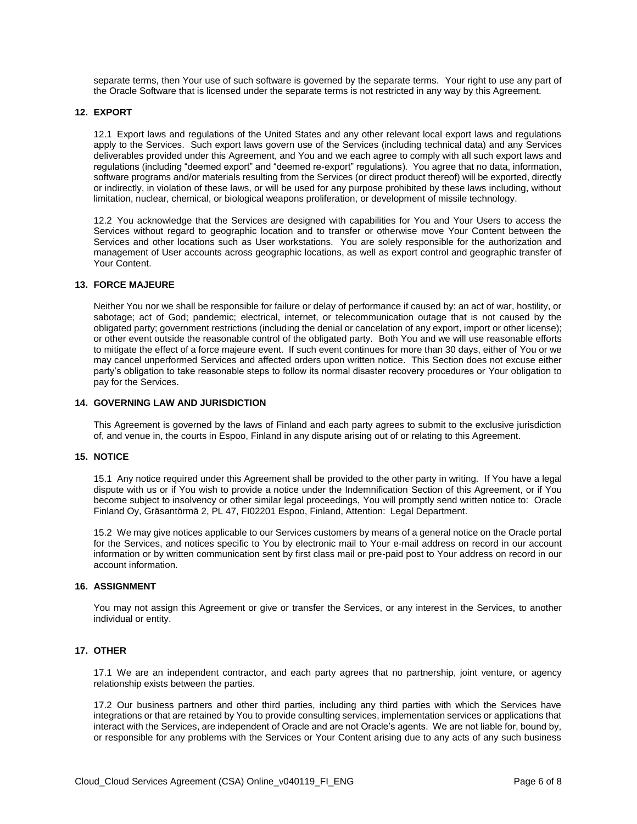separate terms, then Your use of such software is governed by the separate terms. Your right to use any part of the Oracle Software that is licensed under the separate terms is not restricted in any way by this Agreement.

#### **12. EXPORT**

12.1 Export laws and regulations of the United States and any other relevant local export laws and regulations apply to the Services. Such export laws govern use of the Services (including technical data) and any Services deliverables provided under this Agreement, and You and we each agree to comply with all such export laws and regulations (including "deemed export" and "deemed re-export" regulations). You agree that no data, information, software programs and/or materials resulting from the Services (or direct product thereof) will be exported, directly or indirectly, in violation of these laws, or will be used for any purpose prohibited by these laws including, without limitation, nuclear, chemical, or biological weapons proliferation, or development of missile technology.

12.2 You acknowledge that the Services are designed with capabilities for You and Your Users to access the Services without regard to geographic location and to transfer or otherwise move Your Content between the Services and other locations such as User workstations. You are solely responsible for the authorization and management of User accounts across geographic locations, as well as export control and geographic transfer of Your Content.

#### **13. FORCE MAJEURE**

Neither You nor we shall be responsible for failure or delay of performance if caused by: an act of war, hostility, or sabotage; act of God; pandemic; electrical, internet, or telecommunication outage that is not caused by the obligated party; government restrictions (including the denial or cancelation of any export, import or other license); or other event outside the reasonable control of the obligated party. Both You and we will use reasonable efforts to mitigate the effect of a force majeure event. If such event continues for more than 30 days, either of You or we may cancel unperformed Services and affected orders upon written notice. This Section does not excuse either party's obligation to take reasonable steps to follow its normal disaster recovery procedures or Your obligation to pay for the Services.

# **14. GOVERNING LAW AND JURISDICTION**

This Agreement is governed by the laws of Finland and each party agrees to submit to the exclusive jurisdiction of, and venue in, the courts in Espoo, Finland in any dispute arising out of or relating to this Agreement.

#### **15. NOTICE**

15.1 Any notice required under this Agreement shall be provided to the other party in writing. If You have a legal dispute with us or if You wish to provide a notice under the Indemnification Section of this Agreement, or if You become subject to insolvency or other similar legal proceedings, You will promptly send written notice to: Oracle Finland Oy, Gräsantörmä 2, PL 47, FI02201 Espoo, Finland, Attention: Legal Department.

15.2 We may give notices applicable to our Services customers by means of a general notice on the Oracle portal for the Services, and notices specific to You by electronic mail to Your e-mail address on record in our account information or by written communication sent by first class mail or pre-paid post to Your address on record in our account information.

#### **16. ASSIGNMENT**

You may not assign this Agreement or give or transfer the Services, or any interest in the Services, to another individual or entity.

#### **17. OTHER**

17.1 We are an independent contractor, and each party agrees that no partnership, joint venture, or agency relationship exists between the parties.

17.2 Our business partners and other third parties, including any third parties with which the Services have integrations or that are retained by You to provide consulting services, implementation services or applications that interact with the Services, are independent of Oracle and are not Oracle's agents. We are not liable for, bound by, or responsible for any problems with the Services or Your Content arising due to any acts of any such business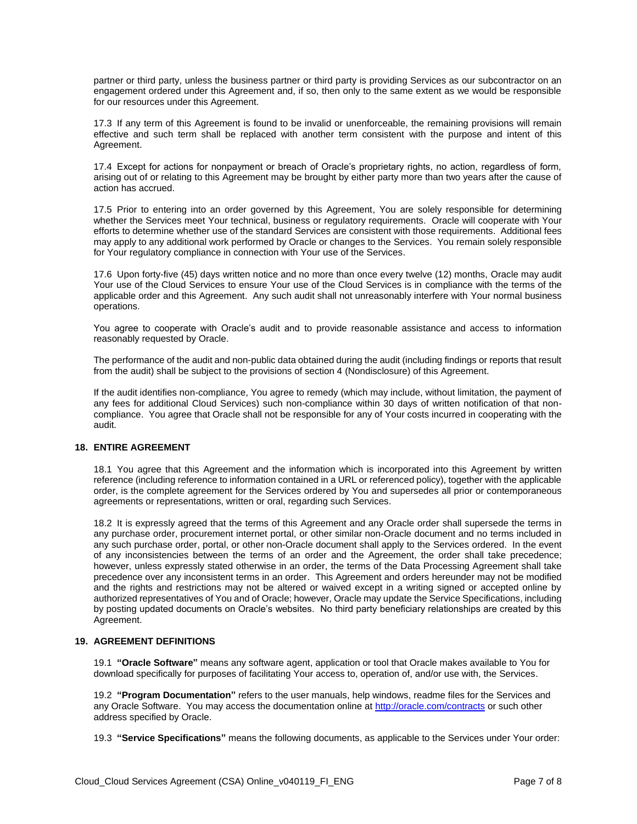partner or third party, unless the business partner or third party is providing Services as our subcontractor on an engagement ordered under this Agreement and, if so, then only to the same extent as we would be responsible for our resources under this Agreement.

17.3 If any term of this Agreement is found to be invalid or unenforceable, the remaining provisions will remain effective and such term shall be replaced with another term consistent with the purpose and intent of this Agreement.

17.4 Except for actions for nonpayment or breach of Oracle's proprietary rights, no action, regardless of form, arising out of or relating to this Agreement may be brought by either party more than two years after the cause of action has accrued.

17.5 Prior to entering into an order governed by this Agreement, You are solely responsible for determining whether the Services meet Your technical, business or regulatory requirements. Oracle will cooperate with Your efforts to determine whether use of the standard Services are consistent with those requirements. Additional fees may apply to any additional work performed by Oracle or changes to the Services. You remain solely responsible for Your regulatory compliance in connection with Your use of the Services.

17.6 Upon forty-five (45) days written notice and no more than once every twelve (12) months, Oracle may audit Your use of the Cloud Services to ensure Your use of the Cloud Services is in compliance with the terms of the applicable order and this Agreement. Any such audit shall not unreasonably interfere with Your normal business operations.

You agree to cooperate with Oracle's audit and to provide reasonable assistance and access to information reasonably requested by Oracle.

The performance of the audit and non-public data obtained during the audit (including findings or reports that result from the audit) shall be subject to the provisions of section 4 (Nondisclosure) of this Agreement.

If the audit identifies non-compliance, You agree to remedy (which may include, without limitation, the payment of any fees for additional Cloud Services) such non-compliance within 30 days of written notification of that noncompliance. You agree that Oracle shall not be responsible for any of Your costs incurred in cooperating with the audit.

# **18. ENTIRE AGREEMENT**

18.1 You agree that this Agreement and the information which is incorporated into this Agreement by written reference (including reference to information contained in a URL or referenced policy), together with the applicable order, is the complete agreement for the Services ordered by You and supersedes all prior or contemporaneous agreements or representations, written or oral, regarding such Services.

18.2 It is expressly agreed that the terms of this Agreement and any Oracle order shall supersede the terms in any purchase order, procurement internet portal, or other similar non-Oracle document and no terms included in any such purchase order, portal, or other non-Oracle document shall apply to the Services ordered. In the event of any inconsistencies between the terms of an order and the Agreement, the order shall take precedence; however, unless expressly stated otherwise in an order, the terms of the Data Processing Agreement shall take precedence over any inconsistent terms in an order. This Agreement and orders hereunder may not be modified and the rights and restrictions may not be altered or waived except in a writing signed or accepted online by authorized representatives of You and of Oracle; however, Oracle may update the Service Specifications, including by posting updated documents on Oracle's websites. No third party beneficiary relationships are created by this Agreement.

# **19. AGREEMENT DEFINITIONS**

19.1 **"Oracle Software"** means any software agent, application or tool that Oracle makes available to You for download specifically for purposes of facilitating Your access to, operation of, and/or use with, the Services.

19.2 **"Program Documentation"** refers to the user manuals, help windows, readme files for the Services and any Oracle Software. You may access the documentation online a[t http://oracle.com/contracts](http://oracle.com/contracts) or such other address specified by Oracle.

19.3 **"Service Specifications"** means the following documents, as applicable to the Services under Your order: